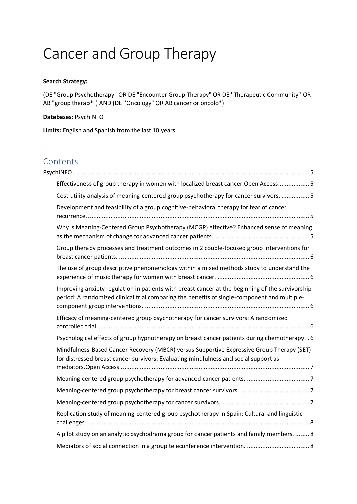# Cancer and Group Therapy

#### **Search Strategy:**

(DE "Group Psychotherapy" OR DE "Encounter Group Therapy" OR DE "Therapeutic Community" OR AB "group therap\*") AND (DE "Oncology" OR AB cancer or oncolo\*)

**Databases:** PsychINFO

**Limits:** English and Spanish from the last 10 years

# **Contents**

| Effectiveness of group therapy in women with localized breast cancer. Open Access 5                                                                                                              |
|--------------------------------------------------------------------------------------------------------------------------------------------------------------------------------------------------|
| Cost-utility analysis of meaning-centered group psychotherapy for cancer survivors.  5                                                                                                           |
| Development and feasibility of a group cognitive-behavioral therapy for fear of cancer                                                                                                           |
| Why is Meaning-Centered Group Psychotherapy (MCGP) effective? Enhanced sense of meaning                                                                                                          |
| Group therapy processes and treatment outcomes in 2 couple-focused group interventions for                                                                                                       |
| The use of group descriptive phenomenology within a mixed methods study to understand the                                                                                                        |
| Improving anxiety regulation in patients with breast cancer at the beginning of the survivorship<br>period: A randomized clinical trial comparing the benefits of single-component and multiple- |
| Efficacy of meaning-centered group psychotherapy for cancer survivors: A randomized                                                                                                              |
| Psychological effects of group hypnotherapy on breast cancer patients during chemotherapy. . 6                                                                                                   |
| Mindfulness-Based Cancer Recovery (MBCR) versus Supportive Expressive Group Therapy (SET)<br>for distressed breast cancer survivors: Evaluating mindfulness and social support as                |
|                                                                                                                                                                                                  |
|                                                                                                                                                                                                  |
|                                                                                                                                                                                                  |
| Replication study of meaning-centered group psychotherapy in Spain: Cultural and linguistic                                                                                                      |
| A pilot study on an analytic psychodrama group for cancer patients and family members.  8                                                                                                        |
|                                                                                                                                                                                                  |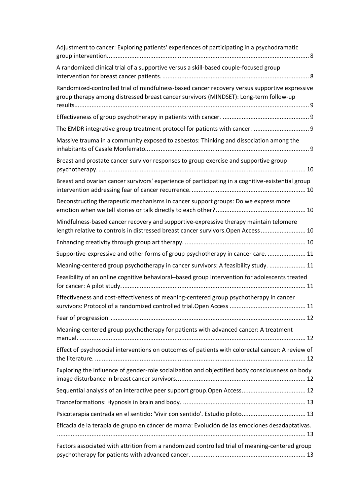| Adjustment to cancer: Exploring patients' experiences of participating in a psychodramatic                                                                                             |
|----------------------------------------------------------------------------------------------------------------------------------------------------------------------------------------|
| A randomized clinical trial of a supportive versus a skill-based couple-focused group                                                                                                  |
| Randomized-controlled trial of mindfulness-based cancer recovery versus supportive expressive<br>group therapy among distressed breast cancer survivors (MINDSET): Long-term follow-up |
|                                                                                                                                                                                        |
| The EMDR integrative group treatment protocol for patients with cancer.  9                                                                                                             |
| Massive trauma in a community exposed to asbestos: Thinking and dissociation among the                                                                                                 |
| Breast and prostate cancer survivor responses to group exercise and supportive group                                                                                                   |
| Breast and ovarian cancer survivors' experience of participating in a cognitive-existential group                                                                                      |
| Deconstructing therapeutic mechanisms in cancer support groups: Do we express more                                                                                                     |
| Mindfulness-based cancer recovery and supportive-expressive therapy maintain telomere<br>length relative to controls in distressed breast cancer survivors. Open Access  10            |
|                                                                                                                                                                                        |
| Supportive-expressive and other forms of group psychotherapy in cancer care.  11                                                                                                       |
| Meaning-centered group psychotherapy in cancer survivors: A feasibility study.  11                                                                                                     |
| Feasibility of an online cognitive behavioral-based group intervention for adolescents treated                                                                                         |
| Effectiveness and cost-effectiveness of meaning-centered group psychotherapy in cancer                                                                                                 |
|                                                                                                                                                                                        |
| Meaning-centered group psychotherapy for patients with advanced cancer: A treatment                                                                                                    |
| Effect of psychosocial interventions on outcomes of patients with colorectal cancer: A review of                                                                                       |
| Exploring the influence of gender-role socialization and objectified body consciousness on body                                                                                        |
|                                                                                                                                                                                        |
|                                                                                                                                                                                        |
|                                                                                                                                                                                        |
| Eficacia de la terapia de grupo en cáncer de mama: Evolución de las emociones desadaptativas.                                                                                          |
| Factors associated with attrition from a randomized controlled trial of meaning-centered group                                                                                         |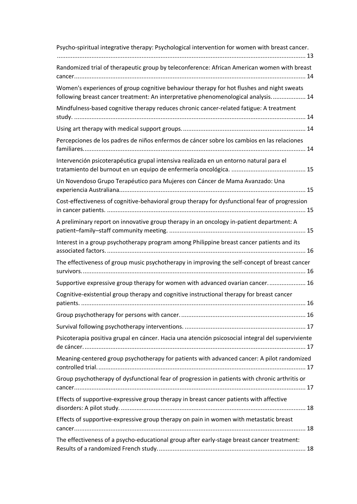| Psycho-spiritual integrative therapy: Psychological intervention for women with breast cancer.                                                                                 |
|--------------------------------------------------------------------------------------------------------------------------------------------------------------------------------|
| Randomized trial of therapeutic group by teleconference: African American women with breast                                                                                    |
| Women's experiences of group cognitive behaviour therapy for hot flushes and night sweats<br>following breast cancer treatment: An interpretative phenomenological analysis 14 |
| Mindfulness-based cognitive therapy reduces chronic cancer-related fatigue: A treatment                                                                                        |
|                                                                                                                                                                                |
| Percepciones de los padres de niños enfermos de cáncer sobre los cambios en las relaciones                                                                                     |
| Intervención psicoterapéutica grupal intensiva realizada en un entorno natural para el                                                                                         |
| Un Novendoso Grupo Terapéutico para Mujeres con Cáncer de Mama Avanzado: Una                                                                                                   |
| Cost-effectiveness of cognitive-behavioral group therapy for dysfunctional fear of progression                                                                                 |
| A preliminary report on innovative group therapy in an oncology in-patient department: A                                                                                       |
| Interest in a group psychotherapy program among Philippine breast cancer patients and its                                                                                      |
| The effectiveness of group music psychotherapy in improving the self-concept of breast cancer                                                                                  |
| Supportive expressive group therapy for women with advanced ovarian cancer 16                                                                                                  |
| Cognitive-existential group therapy and cognitive instructional therapy for breast cancer                                                                                      |
|                                                                                                                                                                                |
|                                                                                                                                                                                |
| Psicoterapia positiva grupal en cáncer. Hacia una atención psicosocial integral del superviviente                                                                              |
| Meaning-centered group psychotherapy for patients with advanced cancer: A pilot randomized                                                                                     |
| Group psychotherapy of dysfunctional fear of progression in patients with chronic arthritis or                                                                                 |
| Effects of supportive-expressive group therapy in breast cancer patients with affective                                                                                        |
| Effects of supportive-expressive group therapy on pain in women with metastatic breast                                                                                         |
| The effectiveness of a psycho-educational group after early-stage breast cancer treatment:                                                                                     |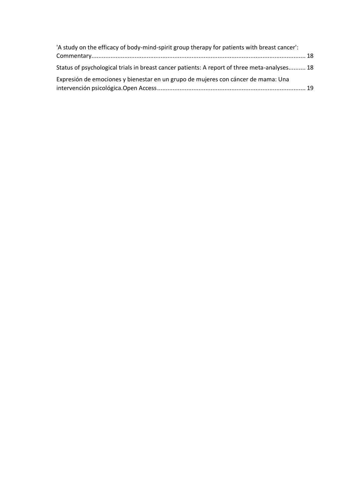| 'A study on the efficacy of body-mind-spirit group therapy for patients with breast cancer': |  |
|----------------------------------------------------------------------------------------------|--|
|                                                                                              |  |
| Status of psychological trials in breast cancer patients: A report of three meta-analyses 18 |  |
| Expresión de emociones y bienestar en un grupo de mujeres con cáncer de mama: Una            |  |
|                                                                                              |  |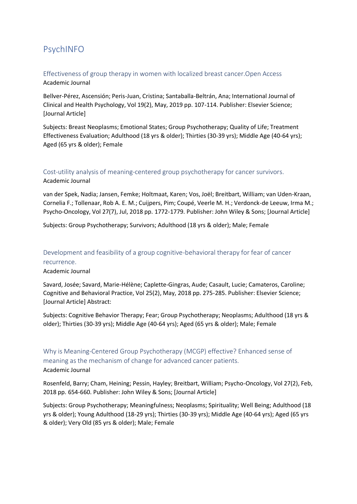# <span id="page-4-0"></span>PsychINFO

#### <span id="page-4-1"></span>Effectiveness of group therapy in women with localized breast cancer.Open Access Academic Journal

Bellver-Pérez, Ascensión; Peris-Juan, Cristina; Santaballa-Beltrán, Ana; International Journal of Clinical and Health Psychology, Vol 19(2), May, 2019 pp. 107-114. Publisher: Elsevier Science; [Journal Article]

Subjects: Breast Neoplasms; Emotional States; Group Psychotherapy; Quality of Life; Treatment Effectiveness Evaluation; Adulthood (18 yrs & older); Thirties (30-39 yrs); Middle Age (40-64 yrs); Aged (65 yrs & older); Female

# <span id="page-4-2"></span>Cost-utility analysis of meaning-centered group psychotherapy for cancer survivors.

#### Academic Journal

van der Spek, Nadia; Jansen, Femke; Holtmaat, Karen; Vos, Joël; Breitbart, William; van Uden-Kraan, Cornelia F.; Tollenaar, Rob A. E. M.; Cuijpers, Pim; Coupé, Veerle M. H.; Verdonck-de Leeuw, Irma M.; Psycho-Oncology, Vol 27(7), Jul, 2018 pp. 1772-1779. Publisher: John Wiley & Sons; [Journal Article]

Subjects: Group Psychotherapy; Survivors; Adulthood (18 yrs & older); Male; Female

# <span id="page-4-3"></span>Development and feasibility of a group cognitive-behavioral therapy for fear of cancer recurrence.

Academic Journal

Savard, Josée; Savard, Marie-Hélène; Caplette-Gingras, Aude; Casault, Lucie; Camateros, Caroline; Cognitive and Behavioral Practice, Vol 25(2), May, 2018 pp. 275-285. Publisher: Elsevier Science; [Journal Article] Abstract:

Subjects: Cognitive Behavior Therapy; Fear; Group Psychotherapy; Neoplasms; Adulthood (18 yrs & older); Thirties (30-39 yrs); Middle Age (40-64 yrs); Aged (65 yrs & older); Male; Female

# <span id="page-4-4"></span>Why is Meaning‐Centered Group Psychotherapy (MCGP) effective? Enhanced sense of meaning as the mechanism of change for advanced cancer patients. Academic Journal

Rosenfeld, Barry; Cham, Heining; Pessin, Hayley; Breitbart, William; Psycho-Oncology, Vol 27(2), Feb, 2018 pp. 654-660. Publisher: John Wiley & Sons; [Journal Article]

Subjects: Group Psychotherapy; Meaningfulness; Neoplasms; Spirituality; Well Being; Adulthood (18 yrs & older); Young Adulthood (18-29 yrs); Thirties (30-39 yrs); Middle Age (40-64 yrs); Aged (65 yrs & older); Very Old (85 yrs & older); Male; Female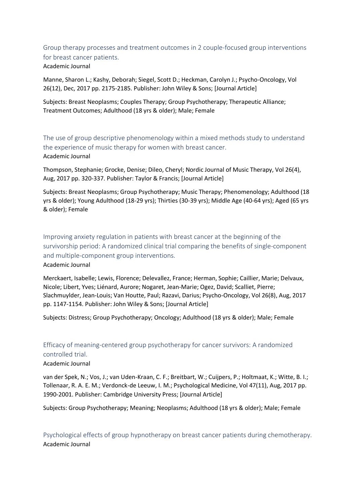<span id="page-5-0"></span>Group therapy processes and treatment outcomes in 2 couple‐focused group interventions for breast cancer patients. Academic Journal

Manne, Sharon L.; Kashy, Deborah; Siegel, Scott D.; Heckman, Carolyn J.; Psycho-Oncology, Vol 26(12), Dec, 2017 pp. 2175-2185. Publisher: John Wiley & Sons; [Journal Article]

Subjects: Breast Neoplasms; Couples Therapy; Group Psychotherapy; Therapeutic Alliance; Treatment Outcomes; Adulthood (18 yrs & older); Male; Female

<span id="page-5-1"></span>The use of group descriptive phenomenology within a mixed methods study to understand the experience of music therapy for women with breast cancer. Academic Journal

Thompson, Stephanie; Grocke, Denise; Dileo, Cheryl; Nordic Journal of Music Therapy, Vol 26(4), Aug, 2017 pp. 320-337. Publisher: Taylor & Francis; [Journal Article]

Subjects: Breast Neoplasms; Group Psychotherapy; Music Therapy; Phenomenology; Adulthood (18 yrs & older); Young Adulthood (18-29 yrs); Thirties (30-39 yrs); Middle Age (40-64 yrs); Aged (65 yrs & older); Female

<span id="page-5-2"></span>Improving anxiety regulation in patients with breast cancer at the beginning of the survivorship period: A randomized clinical trial comparing the benefits of single‐component and multiple‐component group interventions.

Academic Journal

Merckaert, Isabelle; Lewis, Florence; Delevallez, France; Herman, Sophie; Caillier, Marie; Delvaux, Nicole; Libert, Yves; Liénard, Aurore; Nogaret, Jean‐Marie; Ogez, David; Scalliet, Pierre; Slachmuylder, Jean‐Louis; Van Houtte, Paul; Razavi, Darius; Psycho-Oncology, Vol 26(8), Aug, 2017 pp. 1147-1154. Publisher: John Wiley & Sons; [Journal Article]

Subjects: Distress; Group Psychotherapy; Oncology; Adulthood (18 yrs & older); Male; Female

### <span id="page-5-3"></span>Efficacy of meaning-centered group psychotherapy for cancer survivors: A randomized controlled trial.

#### Academic Journal

van der Spek, N.; Vos, J.; van Uden-Kraan, C. F.; Breitbart, W.; Cuijpers, P.; Holtmaat, K.; Witte, B. I.; Tollenaar, R. A. E. M.; Verdonck-de Leeuw, I. M.; Psychological Medicine, Vol 47(11), Aug, 2017 pp. 1990-2001. Publisher: Cambridge University Press; [Journal Article]

Subjects: Group Psychotherapy; Meaning; Neoplasms; Adulthood (18 yrs & older); Male; Female

<span id="page-5-4"></span>Psychological effects of group hypnotherapy on breast cancer patients during chemotherapy. Academic Journal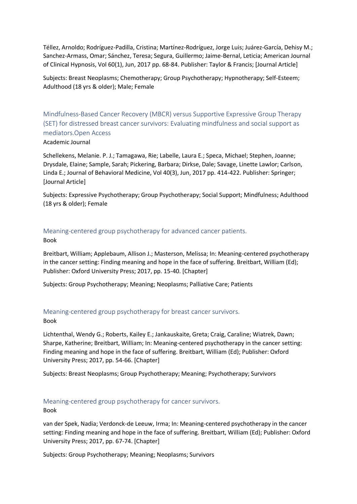Téllez, Arnoldo; Rodríguez-Padilla, Cristina; Martínez-Rodríguez, Jorge Luis; Juárez-García, Dehisy M.; Sanchez-Armass, Omar; Sánchez, Teresa; Segura, Guillermo; Jaime-Bernal, Leticia; American Journal of Clinical Hypnosis, Vol 60(1), Jun, 2017 pp. 68-84. Publisher: Taylor & Francis; [Journal Article]

Subjects: Breast Neoplasms; Chemotherapy; Group Psychotherapy; Hypnotherapy; Self-Esteem; Adulthood (18 yrs & older); Male; Female

<span id="page-6-0"></span>Mindfulness-Based Cancer Recovery (MBCR) versus Supportive Expressive Group Therapy (SET) for distressed breast cancer survivors: Evaluating mindfulness and social support as mediators.Open Access

Academic Journal

Schellekens, Melanie. P. J.; Tamagawa, Rie; Labelle, Laura E.; Speca, Michael; Stephen, Joanne; Drysdale, Elaine; Sample, Sarah; Pickering, Barbara; Dirkse, Dale; Savage, Linette Lawlor; Carlson, Linda E.; Journal of Behavioral Medicine, Vol 40(3), Jun, 2017 pp. 414-422. Publisher: Springer; [Journal Article]

Subjects: Expressive Psychotherapy; Group Psychotherapy; Social Support; Mindfulness; Adulthood (18 yrs & older); Female

#### <span id="page-6-1"></span>Meaning-centered group psychotherapy for advanced cancer patients. Book

Breitbart, William; Applebaum, Allison J.; Masterson, Melissa; In: Meaning-centered psychotherapy in the cancer setting: Finding meaning and hope in the face of suffering. Breitbart, William (Ed); Publisher: Oxford University Press; 2017, pp. 15-40. [Chapter]

Subjects: Group Psychotherapy; Meaning; Neoplasms; Palliative Care; Patients

# <span id="page-6-2"></span>Meaning-centered group psychotherapy for breast cancer survivors.

Book

Lichtenthal, Wendy G.; Roberts, Kailey E.; Jankauskaite, Greta; Craig, Caraline; Wiatrek, Dawn; Sharpe, Katherine; Breitbart, William; In: Meaning-centered psychotherapy in the cancer setting: Finding meaning and hope in the face of suffering. Breitbart, William (Ed); Publisher: Oxford University Press; 2017, pp. 54-66. [Chapter]

Subjects: Breast Neoplasms; Group Psychotherapy; Meaning; Psychotherapy; Survivors

# <span id="page-6-3"></span>Meaning-centered group psychotherapy for cancer survivors.

Book

van der Spek, Nadia; Verdonck-de Leeuw, Irma; In: Meaning-centered psychotherapy in the cancer setting: Finding meaning and hope in the face of suffering. Breitbart, William (Ed); Publisher: Oxford University Press; 2017, pp. 67-74. [Chapter]

Subjects: Group Psychotherapy; Meaning; Neoplasms; Survivors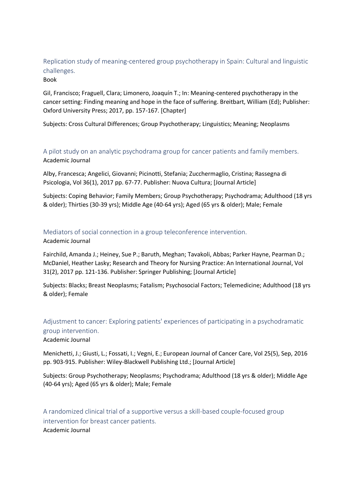# <span id="page-7-0"></span>Replication study of meaning-centered group psychotherapy in Spain: Cultural and linguistic challenges.

#### Book

Gil, Francisco; Fraguell, Clara; Limonero, Joaquín T.; In: Meaning-centered psychotherapy in the cancer setting: Finding meaning and hope in the face of suffering. Breitbart, William (Ed); Publisher: Oxford University Press; 2017, pp. 157-167. [Chapter]

Subjects: Cross Cultural Differences; Group Psychotherapy; Linguistics; Meaning; Neoplasms

<span id="page-7-1"></span>A pilot study on an analytic psychodrama group for cancer patients and family members. Academic Journal

Alby, Francesca; Angelici, Giovanni; Picinotti, Stefania; Zucchermaglio, Cristina; Rassegna di Psicologia, Vol 36(1), 2017 pp. 67-77. Publisher: Nuova Cultura; [Journal Article]

Subjects: Coping Behavior; Family Members; Group Psychotherapy; Psychodrama; Adulthood (18 yrs & older); Thirties (30-39 yrs); Middle Age (40-64 yrs); Aged (65 yrs & older); Male; Female

#### <span id="page-7-2"></span>Mediators of social connection in a group teleconference intervention.

#### Academic Journal

Fairchild, Amanda J.; Heiney, Sue P.; Baruth, Meghan; Tavakoli, Abbas; Parker Hayne, Pearman D.; McDaniel, Heather Lasky; Research and Theory for Nursing Practice: An International Journal, Vol 31(2), 2017 pp. 121-136. Publisher: Springer Publishing; [Journal Article]

Subjects: Blacks; Breast Neoplasms; Fatalism; Psychosocial Factors; Telemedicine; Adulthood (18 yrs & older); Female

<span id="page-7-3"></span>Adjustment to cancer: Exploring patients' experiences of participating in a psychodramatic group intervention.

Academic Journal

Menichetti, J.; Giusti, L.; Fossati, I.; Vegni, E.; European Journal of Cancer Care, Vol 25(5), Sep, 2016 pp. 903-915. Publisher: Wiley-Blackwell Publishing Ltd.; [Journal Article]

Subjects: Group Psychotherapy; Neoplasms; Psychodrama; Adulthood (18 yrs & older); Middle Age (40-64 yrs); Aged (65 yrs & older); Male; Female

<span id="page-7-4"></span>A randomized clinical trial of a supportive versus a skill-based couple-focused group intervention for breast cancer patients. Academic Journal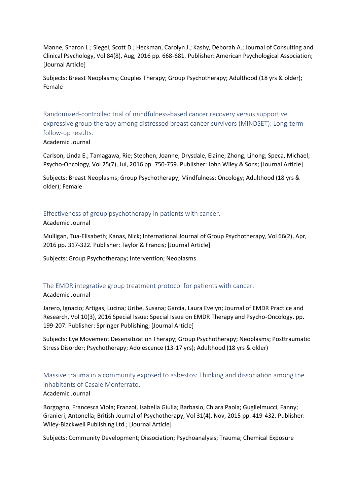Manne, Sharon L.; Siegel, Scott D.; Heckman, Carolyn J.; Kashy, Deborah A.; Journal of Consulting and Clinical Psychology, Vol 84(8), Aug, 2016 pp. 668-681. Publisher: American Psychological Association; [Journal Article]

Subjects: Breast Neoplasms; Couples Therapy; Group Psychotherapy; Adulthood (18 yrs & older); Female

<span id="page-8-0"></span>Randomized‐controlled trial of mindfulness‐based cancer recovery versus supportive expressive group therapy among distressed breast cancer survivors (MINDSET): Long‐term follow‐up results.

Academic Journal

Carlson, Linda E.; Tamagawa, Rie; Stephen, Joanne; Drysdale, Elaine; Zhong, Lihong; Speca, Michael; Psycho-Oncology, Vol 25(7), Jul, 2016 pp. 750-759. Publisher: John Wiley & Sons; [Journal Article]

Subjects: Breast Neoplasms; Group Psychotherapy; Mindfulness; Oncology; Adulthood (18 yrs & older); Female

#### <span id="page-8-1"></span>Effectiveness of group psychotherapy in patients with cancer.

Academic Journal

Mulligan, Tua-Elisabeth; Kanas, Nick; International Journal of Group Psychotherapy, Vol 66(2), Apr, 2016 pp. 317-322. Publisher: Taylor & Francis; [Journal Article]

Subjects: Group Psychotherapy; Intervention; Neoplasms

#### <span id="page-8-2"></span>The EMDR integrative group treatment protocol for patients with cancer.

Academic Journal

Jarero, Ignacio; Artigas, Lucina; Uribe, Susana; García, Laura Evelyn; Journal of EMDR Practice and Research, Vol 10(3), 2016 Special Issue: Special Issue on EMDR Therapy and Psycho-Oncology. pp. 199-207. Publisher: Springer Publishing; [Journal Article]

Subjects: Eye Movement Desensitization Therapy; Group Psychotherapy; Neoplasms; Posttraumatic Stress Disorder; Psychotherapy; Adolescence (13-17 yrs); Adulthood (18 yrs & older)

# <span id="page-8-3"></span>Massive trauma in a community exposed to asbestos: Thinking and dissociation among the inhabitants of Casale Monferrato.

#### Academic Journal

Borgogno, Francesca Viola; Franzoi, Isabella Giulia; Barbasio, Chiara Paola; Guglielmucci, Fanny; Granieri, Antonella; British Journal of Psychotherapy, Vol 31(4), Nov, 2015 pp. 419-432. Publisher: Wiley-Blackwell Publishing Ltd.; [Journal Article]

Subjects: Community Development; Dissociation; Psychoanalysis; Trauma; Chemical Exposure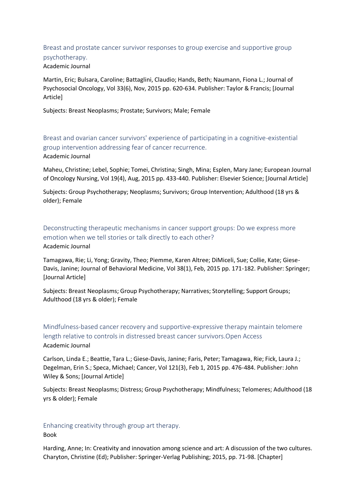#### <span id="page-9-0"></span>Breast and prostate cancer survivor responses to group exercise and supportive group psychotherapy. Academic Journal

Martin, Eric; Bulsara, Caroline; Battaglini, Claudio; Hands, Beth; Naumann, Fiona L.; Journal of Psychosocial Oncology, Vol 33(6), Nov, 2015 pp. 620-634. Publisher: Taylor & Francis; [Journal Article]

Subjects: Breast Neoplasms; Prostate; Survivors; Male; Female

<span id="page-9-1"></span>Breast and ovarian cancer survivors' experience of participating in a cognitive-existential group intervention addressing fear of cancer recurrence. Academic Journal

Maheu, Christine; Lebel, Sophie; Tomei, Christina; Singh, Mina; Esplen, Mary Jane; European Journal of Oncology Nursing, Vol 19(4), Aug, 2015 pp. 433-440. Publisher: Elsevier Science; [Journal Article]

Subjects: Group Psychotherapy; Neoplasms; Survivors; Group Intervention; Adulthood (18 yrs & older); Female

<span id="page-9-2"></span>Deconstructing therapeutic mechanisms in cancer support groups: Do we express more emotion when we tell stories or talk directly to each other? Academic Journal

Tamagawa, Rie; Li, Yong; Gravity, Theo; Piemme, Karen Altree; DiMiceli, Sue; Collie, Kate; Giese-Davis, Janine; Journal of Behavioral Medicine, Vol 38(1), Feb, 2015 pp. 171-182. Publisher: Springer; [Journal Article]

Subjects: Breast Neoplasms; Group Psychotherapy; Narratives; Storytelling; Support Groups; Adulthood (18 yrs & older); Female

<span id="page-9-3"></span>Mindfulness‐based cancer recovery and supportive‐expressive therapy maintain telomere length relative to controls in distressed breast cancer survivors.Open Access Academic Journal

Carlson, Linda E.; Beattie, Tara L.; Giese‐Davis, Janine; Faris, Peter; Tamagawa, Rie; Fick, Laura J.; Degelman, Erin S.; Speca, Michael; Cancer, Vol 121(3), Feb 1, 2015 pp. 476-484. Publisher: John Wiley & Sons; [Journal Article]

Subjects: Breast Neoplasms; Distress; Group Psychotherapy; Mindfulness; Telomeres; Adulthood (18 yrs & older); Female

#### <span id="page-9-4"></span>Enhancing creativity through group art therapy.

Book

Harding, Anne; In: Creativity and innovation among science and art: A discussion of the two cultures. Charyton, Christine (Ed); Publisher: Springer-Verlag Publishing; 2015, pp. 71-98. [Chapter]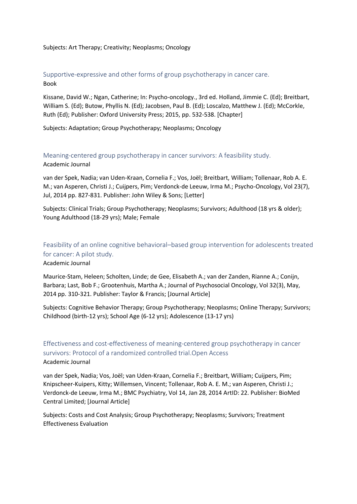#### Subjects: Art Therapy; Creativity; Neoplasms; Oncology

#### <span id="page-10-0"></span>Supportive-expressive and other forms of group psychotherapy in cancer care. Book

Kissane, David W.; Ngan, Catherine; In: Psycho-oncology., 3rd ed. Holland, Jimmie C. (Ed); Breitbart, William S. (Ed); Butow, Phyllis N. (Ed); Jacobsen, Paul B. (Ed); Loscalzo, Matthew J. (Ed); McCorkle, Ruth (Ed); Publisher: Oxford University Press; 2015, pp. 532-538. [Chapter]

Subjects: Adaptation; Group Psychotherapy; Neoplasms; Oncology

#### <span id="page-10-1"></span>Meaning‐centered group psychotherapy in cancer survivors: A feasibility study.

Academic Journal

van der Spek, Nadia; van Uden‐Kraan, Cornelia F.; Vos, Joël; Breitbart, William; Tollenaar, Rob A. E. M.; van Asperen, Christi J.; Cuijpers, Pim; Verdonck‐de Leeuw, Irma M.; Psycho-Oncology, Vol 23(7), Jul, 2014 pp. 827-831. Publisher: John Wiley & Sons; [Letter]

Subjects: Clinical Trials; Group Psychotherapy; Neoplasms; Survivors; Adulthood (18 yrs & older); Young Adulthood (18-29 yrs); Male; Female

# <span id="page-10-2"></span>Feasibility of an online cognitive behavioral–based group intervention for adolescents treated for cancer: A pilot study.

Academic Journal

Maurice-Stam, Heleen; Scholten, Linde; de Gee, Elisabeth A.; van der Zanden, Rianne A.; Conijn, Barbara; Last, Bob F.; Grootenhuis, Martha A.; Journal of Psychosocial Oncology, Vol 32(3), May, 2014 pp. 310-321. Publisher: Taylor & Francis; [Journal Article]

Subjects: Cognitive Behavior Therapy; Group Psychotherapy; Neoplasms; Online Therapy; Survivors; Childhood (birth-12 yrs); School Age (6-12 yrs); Adolescence (13-17 yrs)

# <span id="page-10-3"></span>Effectiveness and cost-effectiveness of meaning-centered group psychotherapy in cancer survivors: Protocol of a randomized controlled trial.Open Access Academic Journal

van der Spek, Nadia; Vos, Joël; van Uden-Kraan, Cornelia F.; Breitbart, William; Cuijpers, Pim; Knipscheer-Kuipers, Kitty; Willemsen, Vincent; Tollenaar, Rob A. E. M.; van Asperen, Christi J.; Verdonck-de Leeuw, Irma M.; BMC Psychiatry, Vol 14, Jan 28, 2014 ArtID: 22. Publisher: BioMed Central Limited; [Journal Article]

Subjects: Costs and Cost Analysis; Group Psychotherapy; Neoplasms; Survivors; Treatment Effectiveness Evaluation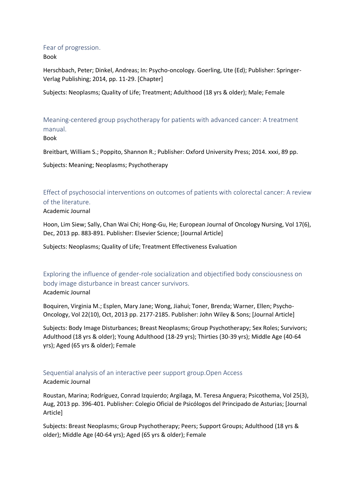#### <span id="page-11-0"></span>Fear of progression.

Book

Herschbach, Peter; Dinkel, Andreas; In: Psycho-oncology. Goerling, Ute (Ed); Publisher: Springer-Verlag Publishing; 2014, pp. 11-29. [Chapter]

Subjects: Neoplasms; Quality of Life; Treatment; Adulthood (18 yrs & older); Male; Female

<span id="page-11-1"></span>Meaning-centered group psychotherapy for patients with advanced cancer: A treatment manual.

#### Book

Breitbart, William S.; Poppito, Shannon R.; Publisher: Oxford University Press; 2014. xxxi, 89 pp.

Subjects: Meaning; Neoplasms; Psychotherapy

<span id="page-11-2"></span>Effect of psychosocial interventions on outcomes of patients with colorectal cancer: A review of the literature.

#### Academic Journal

Hoon, Lim Siew; Sally, Chan Wai Chi; Hong-Gu, He; European Journal of Oncology Nursing, Vol 17(6), Dec, 2013 pp. 883-891. Publisher: Elsevier Science; [Journal Article]

Subjects: Neoplasms; Quality of Life; Treatment Effectiveness Evaluation

<span id="page-11-3"></span>Exploring the influence of gender‐role socialization and objectified body consciousness on body image disturbance in breast cancer survivors. Academic Journal

Boquiren, Virginia M.; Esplen, Mary Jane; Wong, Jiahui; Toner, Brenda; Warner, Ellen; Psycho-Oncology, Vol 22(10), Oct, 2013 pp. 2177-2185. Publisher: John Wiley & Sons; [Journal Article]

Subjects: Body Image Disturbances; Breast Neoplasms; Group Psychotherapy; Sex Roles; Survivors; Adulthood (18 yrs & older); Young Adulthood (18-29 yrs); Thirties (30-39 yrs); Middle Age (40-64 yrs); Aged (65 yrs & older); Female

# <span id="page-11-4"></span>Sequential analysis of an interactive peer support group.Open Access

#### Academic Journal

Roustan, Marina; Rodríguez, Conrad Izquierdo; Argilaga, M. Teresa Anguera; Psicothema, Vol 25(3), Aug, 2013 pp. 396-401. Publisher: Colegio Oficial de Psicólogos del Principado de Asturias; [Journal Article]

Subjects: Breast Neoplasms; Group Psychotherapy; Peers; Support Groups; Adulthood (18 yrs & older); Middle Age (40-64 yrs); Aged (65 yrs & older); Female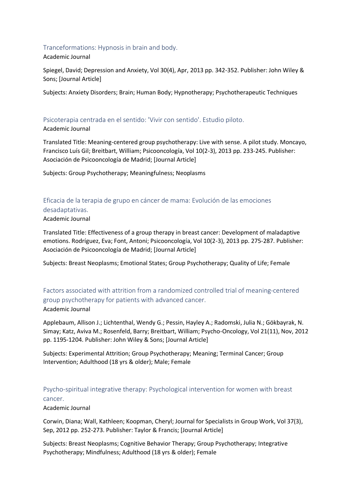#### <span id="page-12-0"></span>Tranceformations: Hypnosis in brain and body.

#### Academic Journal

Spiegel, David; Depression and Anxiety, Vol 30(4), Apr, 2013 pp. 342-352. Publisher: John Wiley & Sons; [Journal Article]

Subjects: Anxiety Disorders; Brain; Human Body; Hypnotherapy; Psychotherapeutic Techniques

#### <span id="page-12-1"></span>Psicoterapia centrada en el sentido: 'Vivir con sentido'. Estudio piloto.

#### Academic Journal

Translated Title: Meaning-centered group psychotherapy: Live with sense. A pilot study. Moncayo, Francisco Luís Gil; Breitbart, William; Psicooncología, Vol 10(2-3), 2013 pp. 233-245. Publisher: Asociación de Psicooncología de Madrid; [Journal Article]

Subjects: Group Psychotherapy; Meaningfulness; Neoplasms

# <span id="page-12-2"></span>Eficacia de la terapia de grupo en cáncer de mama: Evolución de las emociones desadaptativas.

#### Academic Journal

Translated Title: Effectiveness of a group therapy in breast cancer: Development of maladaptive emotions. Rodríguez, Eva; Font, Antoni; Psicooncología, Vol 10(2-3), 2013 pp. 275-287. Publisher: Asociación de Psicooncología de Madrid; [Journal Article]

Subjects: Breast Neoplasms; Emotional States; Group Psychotherapy; Quality of Life; Female

# <span id="page-12-3"></span>Factors associated with attrition from a randomized controlled trial of meaning‐centered group psychotherapy for patients with advanced cancer.

#### Academic Journal

Applebaum, Allison J.; Lichtenthal, Wendy G.; Pessin, Hayley A.; Radomski, Julia N.; Gökbayrak, N. Simay; Katz, Aviva M.; Rosenfeld, Barry; Breitbart, William; Psycho-Oncology, Vol 21(11), Nov, 2012 pp. 1195-1204. Publisher: John Wiley & Sons; [Journal Article]

Subjects: Experimental Attrition; Group Psychotherapy; Meaning; Terminal Cancer; Group Intervention; Adulthood (18 yrs & older); Male; Female

# <span id="page-12-4"></span>Psycho-spiritual integrative therapy: Psychological intervention for women with breast cancer.

#### Academic Journal

Corwin, Diana; Wall, Kathleen; Koopman, Cheryl; Journal for Specialists in Group Work, Vol 37(3), Sep, 2012 pp. 252-273. Publisher: Taylor & Francis; [Journal Article]

Subjects: Breast Neoplasms; Cognitive Behavior Therapy; Group Psychotherapy; Integrative Psychotherapy; Mindfulness; Adulthood (18 yrs & older); Female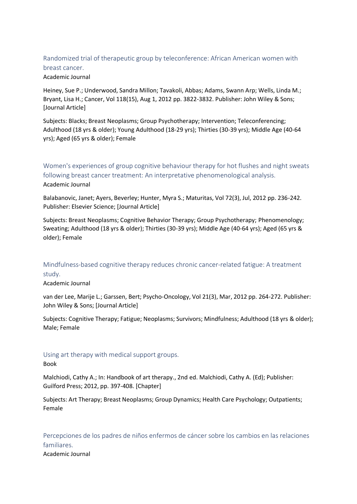# <span id="page-13-0"></span>Randomized trial of therapeutic group by teleconference: African American women with breast cancer.

Academic Journal

Heiney, Sue P.; Underwood, Sandra Millon; Tavakoli, Abbas; Adams, Swann Arp; Wells, Linda M.; Bryant, Lisa H.; Cancer, Vol 118(15), Aug 1, 2012 pp. 3822-3832. Publisher: John Wiley & Sons; [Journal Article]

Subjects: Blacks; Breast Neoplasms; Group Psychotherapy; Intervention; Teleconferencing; Adulthood (18 yrs & older); Young Adulthood (18-29 yrs); Thirties (30-39 yrs); Middle Age (40-64 yrs); Aged (65 yrs & older); Female

<span id="page-13-1"></span>Women's experiences of group cognitive behaviour therapy for hot flushes and night sweats following breast cancer treatment: An interpretative phenomenological analysis. Academic Journal

Balabanovic, Janet; Ayers, Beverley; Hunter, Myra S.; Maturitas, Vol 72(3), Jul, 2012 pp. 236-242. Publisher: Elsevier Science; [Journal Article]

Subjects: Breast Neoplasms; Cognitive Behavior Therapy; Group Psychotherapy; Phenomenology; Sweating; Adulthood (18 yrs & older); Thirties (30-39 yrs); Middle Age (40-64 yrs); Aged (65 yrs & older); Female

# <span id="page-13-2"></span>Mindfulness‐based cognitive therapy reduces chronic cancer‐related fatigue: A treatment study.

Academic Journal

van der Lee, Marije L.; Garssen, Bert; Psycho-Oncology, Vol 21(3), Mar, 2012 pp. 264-272. Publisher: John Wiley & Sons; [Journal Article]

Subjects: Cognitive Therapy; Fatigue; Neoplasms; Survivors; Mindfulness; Adulthood (18 yrs & older); Male; Female

# <span id="page-13-3"></span>Using art therapy with medical support groups.

Book

Malchiodi, Cathy A.; In: Handbook of art therapy., 2nd ed. Malchiodi, Cathy A. (Ed); Publisher: Guilford Press; 2012, pp. 397-408. [Chapter]

Subjects: Art Therapy; Breast Neoplasms; Group Dynamics; Health Care Psychology; Outpatients; Female

<span id="page-13-4"></span>Percepciones de los padres de niños enfermos de cáncer sobre los cambios en las relaciones familiares.

Academic Journal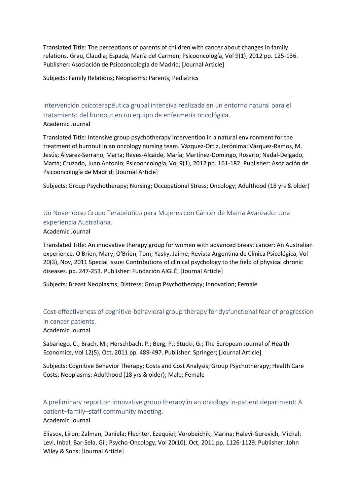Translated Title: The perceptions of parents of children with cancer about changes in family relations. Grau, Claudia; Espada, María del Carmen; Psicooncología, Vol 9(1), 2012 pp. 125-136. Publisher: Asociación de Psicooncología de Madrid; [Journal Article]

Subjects: Family Relations; Neoplasms; Parents; Pediatrics

<span id="page-14-0"></span>Intervención psicoterapéutica grupal intensiva realizada en un entorno natural para el tratamiento del burnout en un equipo de enfermería oncológica. Academic Journal

Translated Title: Intensive group psychotherapy intervention in a natural environment for the treatment of burnout in an oncology nursing team. Vázquez-Ortiz, Jerónima; Vázquez-Ramos, M. Jesús; Álvarez-Serrano, Marta; Reyes-Alcaide, María; Martínez-Domingo, Rosario; Nadal-Delgado, Marta; Cruzado, Juan Antonio; Psicooncología, Vol 9(1), 2012 pp. 161-182. Publisher: Asociación de Psicooncología de Madrid; [Journal Article]

Subjects: Group Psychotherapy; Nursing; Occupational Stress; Oncology; Adulthood (18 yrs & older)

<span id="page-14-1"></span>Un Novendoso Grupo Terapéutico para Mujeres con Cáncer de Mama Avanzado: Una experiencia Australiana.

Academic Journal

Translated Title: An innovative therapy group for women with advanced breast cancer: An Australian experience. O'Brien, Mary; O'Brien, Tom; Yasky, Jaime; Revista Argentina de Clínica Psicológica, Vol 20(3), Nov, 2011 Special Issue: Contributions of clinical psychology to the field of physical chronic diseases. pp. 247-253. Publisher: Fundación AIGLÉ; [Journal Article]

Subjects: Breast Neoplasms; Distress; Group Psychotherapy; Innovation; Female

# <span id="page-14-2"></span>Cost-effectiveness of cognitive-behavioral group therapy for dysfunctional fear of progression in cancer patients.

Academic Journal

Sabariego, C.; Brach, M.; Herschbach, P.; Berg, P.; Stucki, G.; The European Journal of Health Economics, Vol 12(5), Oct, 2011 pp. 489-497. Publisher: Springer; [Journal Article]

Subjects: Cognitive Behavior Therapy; Costs and Cost Analysis; Group Psychotherapy; Health Care Costs; Neoplasms; Adulthood (18 yrs & older); Male; Female

<span id="page-14-3"></span>A preliminary report on innovative group therapy in an oncology in‐patient department: A patient–family–staff community meeting. Academic Journal

Eliasov, Liron; Zalman, Daniela; Flechter, Ezequiel; Vorobeichik, Marina; Halevi‐Gurevich, Michal; Levi, Inbal; Bar‐Sela, Gil; Psycho-Oncology, Vol 20(10), Oct, 2011 pp. 1126-1129. Publisher: John Wiley & Sons; [Journal Article]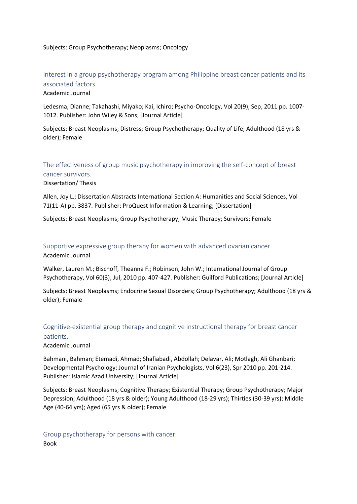#### Subjects: Group Psychotherapy; Neoplasms; Oncology

# <span id="page-15-0"></span>Interest in a group psychotherapy program among Philippine breast cancer patients and its associated factors.

#### Academic Journal

Ledesma, Dianne; Takahashi, Miyako; Kai, Ichiro; Psycho-Oncology, Vol 20(9), Sep, 2011 pp. 1007- 1012. Publisher: John Wiley & Sons; [Journal Article]

Subjects: Breast Neoplasms; Distress; Group Psychotherapy; Quality of Life; Adulthood (18 yrs & older); Female

# <span id="page-15-1"></span>The effectiveness of group music psychotherapy in improving the self-concept of breast cancer survivors.

Dissertation/ Thesis

Allen, Joy L.; Dissertation Abstracts International Section A: Humanities and Social Sciences, Vol 71(11-A) pp. 3837. Publisher: ProQuest Information & Learning; [Dissertation]

Subjects: Breast Neoplasms; Group Psychotherapy; Music Therapy; Survivors; Female

<span id="page-15-2"></span>Supportive expressive group therapy for women with advanced ovarian cancer. Academic Journal

Walker, Lauren M.; Bischoff, Theanna F.; Robinson, John W.; International Journal of Group Psychotherapy, Vol 60(3), Jul, 2010 pp. 407-427. Publisher: Guilford Publications; [Journal Article]

Subjects: Breast Neoplasms; Endocrine Sexual Disorders; Group Psychotherapy; Adulthood (18 yrs & older); Female

# <span id="page-15-3"></span>Cognitive-existential group therapy and cognitive instructional therapy for breast cancer patients.

#### Academic Journal

Bahmani, Bahman; Etemadi, Ahmad; Shafiabadi, Abdollah; Delavar, Ali; Motlagh, Ali Ghanbari; Developmental Psychology: Journal of Iranian Psychologists, Vol 6(23), Spr 2010 pp. 201-214. Publisher: Islamic Azad University; [Journal Article]

Subjects: Breast Neoplasms; Cognitive Therapy; Existential Therapy; Group Psychotherapy; Major Depression; Adulthood (18 yrs & older); Young Adulthood (18-29 yrs); Thirties (30-39 yrs); Middle Age (40-64 yrs); Aged (65 yrs & older); Female

<span id="page-15-4"></span>Group psychotherapy for persons with cancer. Book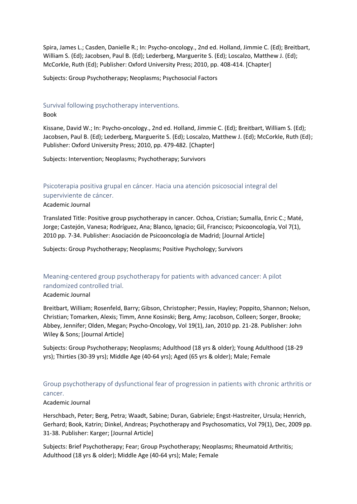Spira, James L.; Casden, Danielle R.; In: Psycho-oncology., 2nd ed. Holland, Jimmie C. (Ed); Breitbart, William S. (Ed); Jacobsen, Paul B. (Ed); Lederberg, Marguerite S. (Ed); Loscalzo, Matthew J. (Ed); McCorkle, Ruth (Ed); Publisher: Oxford University Press; 2010, pp. 408-414. [Chapter]

Subjects: Group Psychotherapy; Neoplasms; Psychosocial Factors

# <span id="page-16-0"></span>Survival following psychotherapy interventions.

#### Book

Kissane, David W.; In: Psycho-oncology., 2nd ed. Holland, Jimmie C. (Ed); Breitbart, William S. (Ed); Jacobsen, Paul B. (Ed); Lederberg, Marguerite S. (Ed); Loscalzo, Matthew J. (Ed); McCorkle, Ruth (Ed); Publisher: Oxford University Press; 2010, pp. 479-482. [Chapter]

Subjects: Intervention; Neoplasms; Psychotherapy; Survivors

# <span id="page-16-1"></span>Psicoterapia positiva grupal en cáncer. Hacia una atención psicosocial integral del superviviente de cáncer.

#### Academic Journal

Translated Title: Positive group psychotherapy in cancer. Ochoa, Cristian; Sumalla, Enric C.; Maté, Jorge; Castejón, Vanesa; Rodríguez, Ana; Blanco, Ignacio; Gil, Francisco; Psicooncología, Vol 7(1), 2010 pp. 7-34. Publisher: Asociación de Psicooncología de Madrid; [Journal Article]

Subjects: Group Psychotherapy; Neoplasms; Positive Psychology; Survivors

# <span id="page-16-2"></span>Meaning-centered group psychotherapy for patients with advanced cancer: A pilot randomized controlled trial.

#### Academic Journal

Breitbart, William; Rosenfeld, Barry; Gibson, Christopher; Pessin, Hayley; Poppito, Shannon; Nelson, Christian; Tomarken, Alexis; Timm, Anne Kosinski; Berg, Amy; Jacobson, Colleen; Sorger, Brooke; Abbey, Jennifer; Olden, Megan; Psycho-Oncology, Vol 19(1), Jan, 2010 pp. 21-28. Publisher: John Wiley & Sons; [Journal Article]

Subjects: Group Psychotherapy; Neoplasms; Adulthood (18 yrs & older); Young Adulthood (18-29 yrs); Thirties (30-39 yrs); Middle Age (40-64 yrs); Aged (65 yrs & older); Male; Female

# <span id="page-16-3"></span>Group psychotherapy of dysfunctional fear of progression in patients with chronic arthritis or cancer.

#### Academic Journal

Herschbach, Peter; Berg, Petra; Waadt, Sabine; Duran, Gabriele; Engst-Hastreiter, Ursula; Henrich, Gerhard; Book, Katrin; Dinkel, Andreas; Psychotherapy and Psychosomatics, Vol 79(1), Dec, 2009 pp. 31-38. Publisher: Karger; [Journal Article]

Subjects: Brief Psychotherapy; Fear; Group Psychotherapy; Neoplasms; Rheumatoid Arthritis; Adulthood (18 yrs & older); Middle Age (40-64 yrs); Male; Female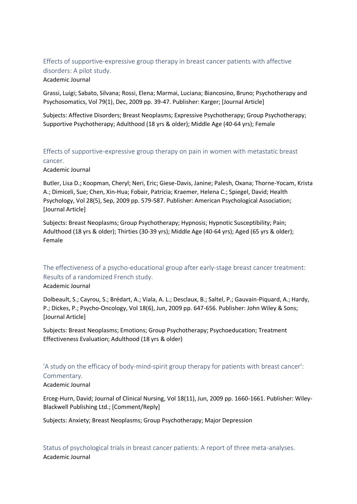# <span id="page-17-0"></span>Effects of supportive-expressive group therapy in breast cancer patients with affective disorders: A pilot study.

#### Academic Journal

Grassi, Luigi; Sabato, Silvana; Rossi, Elena; Marmai, Luciana; Biancosino, Bruno; Psychotherapy and Psychosomatics, Vol 79(1), Dec, 2009 pp. 39-47. Publisher: Karger; [Journal Article]

Subjects: Affective Disorders; Breast Neoplasms; Expressive Psychotherapy; Group Psychotherapy; Supportive Psychotherapy; Adulthood (18 yrs & older); Middle Age (40-64 yrs); Female

# <span id="page-17-1"></span>Effects of supportive-expressive group therapy on pain in women with metastatic breast cancer.

#### Academic Journal

Butler, Lisa D.; Koopman, Cheryl; Neri, Eric; Giese-Davis, Janine; Palesh, Oxana; Thorne-Yocam, Krista A.; Dimiceli, Sue; Chen, Xin-Hua; Fobair, Patricia; Kraemer, Helena C.; Spiegel, David; Health Psychology, Vol 28(5), Sep, 2009 pp. 579-587. Publisher: American Psychological Association; [Journal Article]

Subjects: Breast Neoplasms; Group Psychotherapy; Hypnosis; Hypnotic Susceptibility; Pain; Adulthood (18 yrs & older); Thirties (30-39 yrs); Middle Age (40-64 yrs); Aged (65 yrs & older); Female

# <span id="page-17-2"></span>The effectiveness of a psycho-educational group after early-stage breast cancer treatment: Results of a randomized French study.

#### Academic Journal

Dolbeault, S.; Cayrou, S.; Brédart, A.; Viala, A. L.; Desclaux, B.; Saltel, P.; Gauvain-Piquard, A.; Hardy, P.; Dickes, P.; Psycho-Oncology, Vol 18(6), Jun, 2009 pp. 647-656. Publisher: John Wiley & Sons; [Journal Article]

Subjects: Breast Neoplasms; Emotions; Group Psychotherapy; Psychoeducation; Treatment Effectiveness Evaluation; Adulthood (18 yrs & older)

# <span id="page-17-3"></span>'A study on the efficacy of body-mind-spirit group therapy for patients with breast cancer':

#### Commentary.

#### Academic Journal

Erceg-Hurn, David; Journal of Clinical Nursing, Vol 18(11), Jun, 2009 pp. 1660-1661. Publisher: Wiley-Blackwell Publishing Ltd.; [Comment/Reply]

Subjects: Anxiety; Breast Neoplasms; Group Psychotherapy; Major Depression

<span id="page-17-4"></span>Status of psychological trials in breast cancer patients: A report of three meta-analyses. Academic Journal